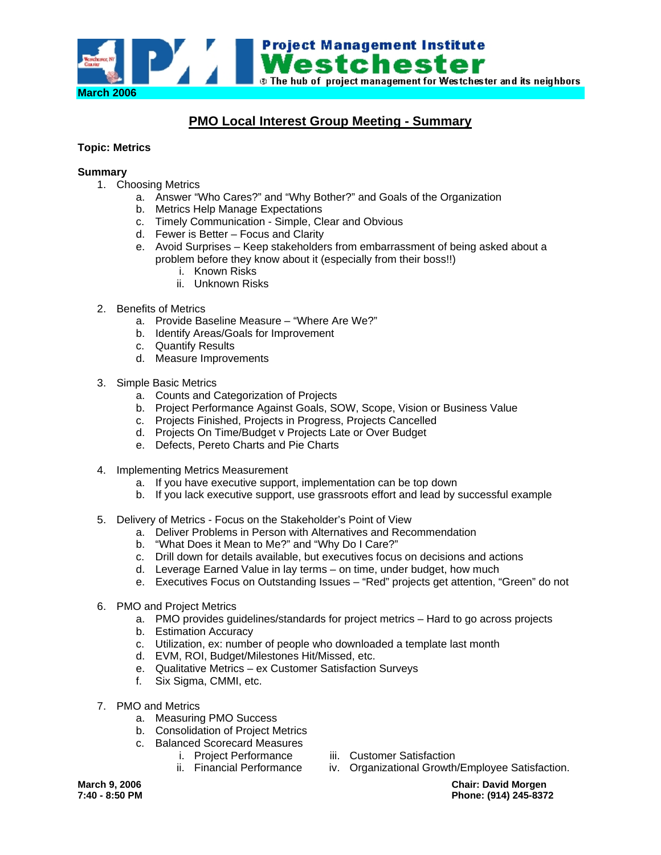

# **PMO Local Interest Group Meeting - Summary**

# **Topic: Metrics**

## **Summary**

- 1. Choosing Metrics
	- a. Answer "Who Cares?" and "Why Bother?" and Goals of the Organization
	- b. Metrics Help Manage Expectations
	- c. Timely Communication Simple, Clear and Obvious
	- d. Fewer is Better Focus and Clarity
	- e. Avoid Surprises Keep stakeholders from embarrassment of being asked about a problem before they know about it (especially from their boss!!)
		- i. Known Risks
		- ii. Unknown Risks
- 2. Benefits of Metrics
	- a. Provide Baseline Measure "Where Are We?"
	- b. Identify Areas/Goals for Improvement
	- c. Quantify Results
	- d. Measure Improvements
- 3. Simple Basic Metrics
	- a. Counts and Categorization of Projects
	- b. Project Performance Against Goals, SOW, Scope, Vision or Business Value
	- c. Projects Finished, Projects in Progress, Projects Cancelled
	- d. Projects On Time/Budget v Projects Late or Over Budget
	- e. Defects, Pereto Charts and Pie Charts
- 4. Implementing Metrics Measurement
	- a. If you have executive support, implementation can be top down
	- b. If you lack executive support, use grassroots effort and lead by successful example
- 5. Delivery of Metrics Focus on the Stakeholder's Point of View
	- a. Deliver Problems in Person with Alternatives and Recommendation
	- b. "What Does it Mean to Me?" and "Why Do I Care?"
	- c. Drill down for details available, but executives focus on decisions and actions
	- d. Leverage Earned Value in lay terms on time, under budget, how much
	- e. Executives Focus on Outstanding Issues "Red" projects get attention, "Green" do not
- 6. PMO and Project Metrics
	- a. PMO provides guidelines/standards for project metrics Hard to go across projects
	- b. Estimation Accuracy
	- c. Utilization, ex: number of people who downloaded a template last month
	- d. EVM, ROI, Budget/Milestones Hit/Missed, etc.
	- e. Qualitative Metrics ex Customer Satisfaction Surveys
	- f. Six Sigma, CMMI, etc.
- 7. PMO and Metrics
	- a. Measuring PMO Success
	- b. Consolidation of Project Metrics
	- c. Balanced Scorecard Measures
		- i. Project Performance
- iii. Customer Satisfaction
- ii. Financial Performance iv. Organizational Growth/Employee Satisfaction.

**March 9, 2006 Chair: David Morgen 7:40 - 8:50 PM Phone: (914) 245-8372**